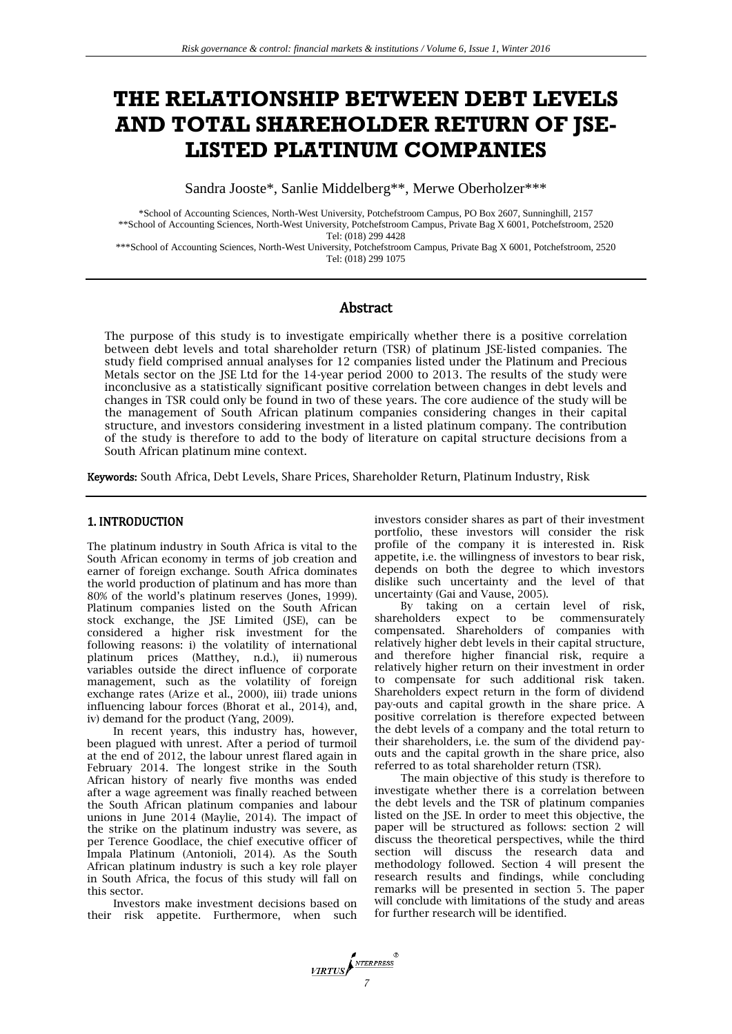# **THE RELATIONSHIP BETWEEN DEBT LEVELS AND TOTAL SHAREHOLDER RETURN OF JSE-LISTED PLATINUM COMPANIES**

Sandra Jooste\*, Sanlie Middelberg\*\*, Merwe Oberholzer\*\*\*

\*School of Accounting Sciences, North-West University, Potchefstroom Campus, PO Box 2607, Sunninghill, 2157 \*\*School of Accounting Sciences, North-West University, Potchefstroom Campus, Private Bag X 6001, Potchefstroom, 2520 Tel: (018) 299 4428

\*\*\*School of Accounting Sciences, North-West University, Potchefstroom Campus, Private Bag X 6001, Potchefstroom, 2520 Tel: (018) 299 1075

# Abstract

The purpose of this study is to investigate empirically whether there is a positive correlation between debt levels and total shareholder return (TSR) of platinum JSE-listed companies. The study field comprised annual analyses for 12 companies listed under the Platinum and Precious Metals sector on the JSE Ltd for the 14-year period 2000 to 2013. The results of the study were inconclusive as a statistically significant positive correlation between changes in debt levels and changes in TSR could only be found in two of these years. The core audience of the study will be the management of South African platinum companies considering changes in their capital structure, and investors considering investment in a listed platinum company. The contribution of the study is therefore to add to the body of literature on capital structure decisions from a South African platinum mine context.

Keywords: South Africa, Debt Levels, Share Prices, Shareholder Return, Platinum Industry, Risk

## 1. INTRODUCTION

The platinum industry in South Africa is vital to the South African economy in terms of job creation and earner of foreign exchange. South Africa dominates the world production of platinum and has more than 80% of the world's platinum reserves (Jones, 1999). Platinum companies listed on the South African stock exchange, the JSE Limited (JSE), can be considered a higher risk investment for the following reasons: i) the volatility of international platinum prices (Matthey, n.d.), ii) numerous variables outside the direct influence of corporate management, such as the volatility of foreign exchange rates (Arize et al., 2000), iii) trade unions influencing labour forces (Bhorat et al., 2014), and, iv) demand for the product (Yang, 2009).

In recent years, this industry has, however, been plagued with unrest. After a period of turmoil at the end of 2012, the labour unrest flared again in February 2014. The longest strike in the South African history of nearly five months was ended after a wage agreement was finally reached between the South African platinum companies and labour unions in June 2014 (Maylie, 2014). The impact of the strike on the platinum industry was severe, as per Terence Goodlace, the chief executive officer of Impala Platinum (Antonioli, 2014). As the South African platinum industry is such a key role player in South Africa, the focus of this study will fall on this sector.

Investors make investment decisions based on their risk appetite. Furthermore, when such

investors consider shares as part of their investment portfolio, these investors will consider the risk profile of the company it is interested in. Risk appetite, i.e. the willingness of investors to bear risk, depends on both the degree to which investors dislike such uncertainty and the level of that uncertainty (Gai and Vause, 2005).

By taking on a certain level of risk, shareholders expect to be commensurately compensated. Shareholders of companies with relatively higher debt levels in their capital structure, and therefore higher financial risk, require a relatively higher return on their investment in order to compensate for such additional risk taken. Shareholders expect return in the form of dividend pay-outs and capital growth in the share price. A positive correlation is therefore expected between the debt levels of a company and the total return to their shareholders, i.e. the sum of the dividend payouts and the capital growth in the share price, also referred to as total shareholder return (TSR).

The main objective of this study is therefore to investigate whether there is a correlation between the debt levels and the TSR of platinum companies listed on the JSE. In order to meet this objective, the paper will be structured as follows: section 2 will discuss the theoretical perspectives, while the third section will discuss the research data and methodology followed. Section 4 will present the research results and findings, while concluding remarks will be presented in section 5. The paper will conclude with limitations of the study and areas for further research will be identified.

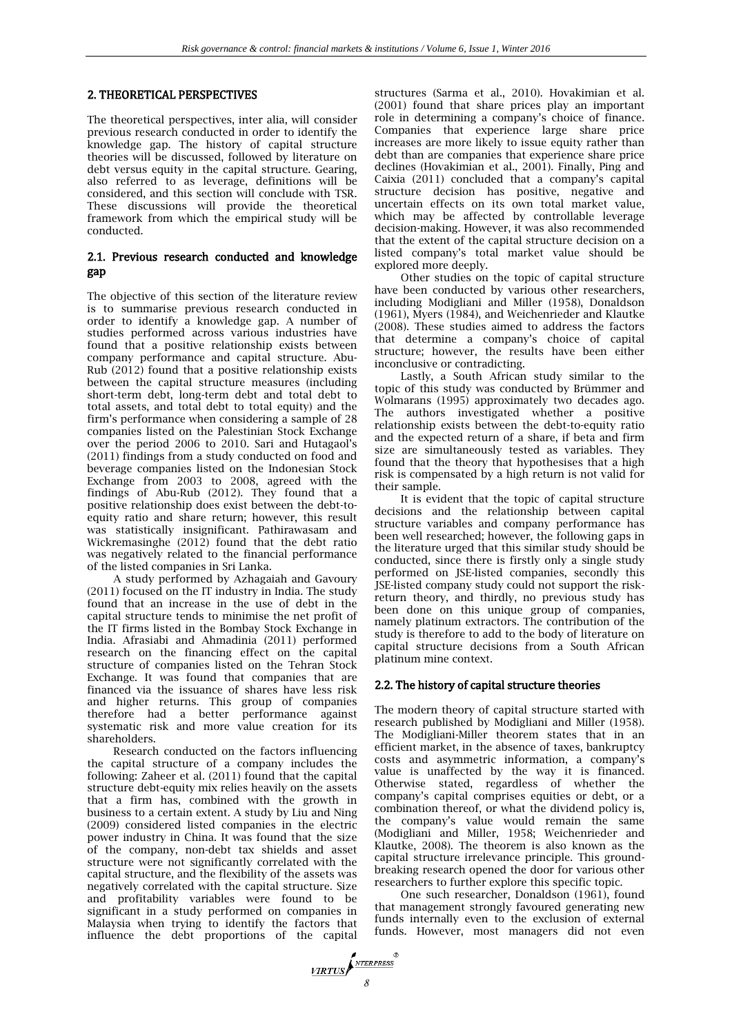# 2. THEORETICAL PERSPECTIVES

The theoretical perspectives, inter alia, will consider previous research conducted in order to identify the knowledge gap. The history of capital structure theories will be discussed, followed by literature on debt versus equity in the capital structure. Gearing, also referred to as leverage, definitions will be considered, and this section will conclude with TSR. These discussions will provide the theoretical framework from which the empirical study will be conducted.

# 2.1. Previous research conducted and knowledge gap

The objective of this section of the literature review is to summarise previous research conducted in order to identify a knowledge gap. A number of studies performed across various industries have found that a positive relationship exists between company performance and capital structure. Abu-Rub (2012) found that a positive relationship exists between the capital structure measures (including short-term debt, long-term debt and total debt to total assets, and total debt to total equity) and the firm's performance when considering a sample of 28 companies listed on the Palestinian Stock Exchange over the period 2006 to 2010. Sari and Hutagaol's (2011) findings from a study conducted on food and beverage companies listed on the Indonesian Stock Exchange from 2003 to 2008, agreed with the findings of Abu-Rub (2012). They found that a positive relationship does exist between the debt-toequity ratio and share return; however, this result was statistically insignificant. Pathirawasam and Wickremasinghe (2012) found that the debt ratio was negatively related to the financial performance of the listed companies in Sri Lanka.

A study performed by Azhagaiah and Gavoury (2011) focused on the IT industry in India. The study found that an increase in the use of debt in the capital structure tends to minimise the net profit of the IT firms listed in the Bombay Stock Exchange in India. Afrasiabi and Ahmadinia (2011) performed research on the financing effect on the capital structure of companies listed on the Tehran Stock Exchange. It was found that companies that are financed via the issuance of shares have less risk and higher returns. This group of companies therefore had a better performance against systematic risk and more value creation for its shareholders.

Research conducted on the factors influencing the capital structure of a company includes the following: Zaheer et al. (2011) found that the capital structure debt-equity mix relies heavily on the assets that a firm has, combined with the growth in business to a certain extent. A study by Liu and Ning (2009) considered listed companies in the electric power industry in China. It was found that the size of the company, non-debt tax shields and asset structure were not significantly correlated with the capital structure, and the flexibility of the assets was negatively correlated with the capital structure. Size and profitability variables were found to be significant in a study performed on companies in Malaysia when trying to identify the factors that influence the debt proportions of the capital

structures (Sarma et al., 2010). Hovakimian et al. (2001) found that share prices play an important role in determining a company's choice of finance. Companies that experience large share price increases are more likely to issue equity rather than debt than are companies that experience share price declines (Hovakimian et al., 2001). Finally, Ping and Caixia (2011) concluded that a company's capital structure decision has positive, negative and uncertain effects on its own total market value, which may be affected by controllable leverage decision-making. However, it was also recommended that the extent of the capital structure decision on a listed company's total market value should be explored more deeply.

Other studies on the topic of capital structure have been conducted by various other researchers, including Modigliani and Miller (1958), Donaldson (1961), Myers (1984), and Weichenrieder and Klautke (2008). These studies aimed to address the factors that determine a company's choice of capital structure; however, the results have been either inconclusive or contradicting.

Lastly, a South African study similar to the topic of this study was conducted by Brümmer and Wolmarans (1995) approximately two decades ago. The authors investigated whether a positive relationship exists between the debt-to-equity ratio and the expected return of a share, if beta and firm size are simultaneously tested as variables. They found that the theory that hypothesises that a high risk is compensated by a high return is not valid for their sample.

It is evident that the topic of capital structure decisions and the relationship between capital structure variables and company performance has been well researched; however, the following gaps in the literature urged that this similar study should be conducted, since there is firstly only a single study performed on JSE-listed companies, secondly this JSE-listed company study could not support the riskreturn theory, and thirdly, no previous study has been done on this unique group of companies, namely platinum extractors. The contribution of the study is therefore to add to the body of literature on capital structure decisions from a South African platinum mine context.

# 2.2. The history of capital structure theories

The modern theory of capital structure started with research published by Modigliani and Miller (1958). The Modigliani-Miller theorem states that in an efficient market, in the absence of taxes, bankruptcy costs and asymmetric information, a company's value is unaffected by the way it is financed. Otherwise stated, regardless of whether the company's capital comprises equities or debt, or a combination thereof, or what the dividend policy is, the company's value would remain the same (Modigliani and Miller, 1958; Weichenrieder and Klautke, 2008). The theorem is also known as the capital structure irrelevance principle. This groundbreaking research opened the door for various other researchers to further explore this specific topic.

One such researcher, Donaldson (1961), found that management strongly favoured generating new funds internally even to the exclusion of external funds. However, most managers did not even

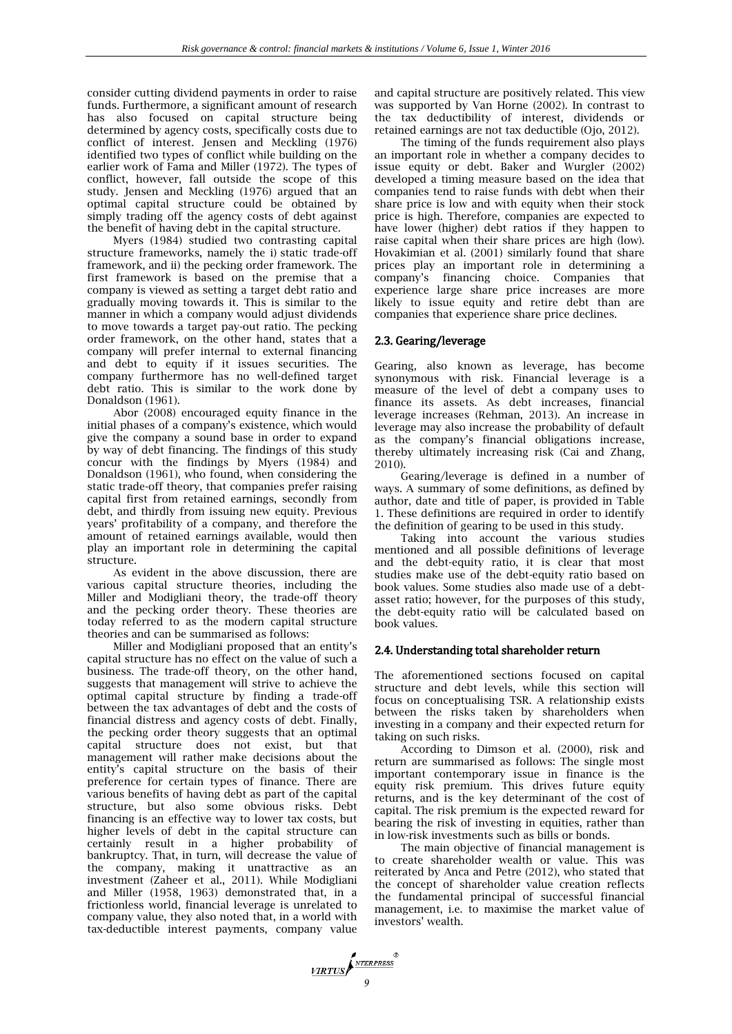consider cutting dividend payments in order to raise funds. Furthermore, a significant amount of research has also focused on capital structure being determined by agency costs, specifically costs due to conflict of interest. Jensen and Meckling (1976) identified two types of conflict while building on the earlier work of Fama and Miller (1972). The types of conflict, however, fall outside the scope of this study. Jensen and Meckling (1976) argued that an optimal capital structure could be obtained by simply trading off the agency costs of debt against the benefit of having debt in the capital structure.

Myers (1984) studied two contrasting capital structure frameworks, namely the i) static trade-off framework, and ii) the pecking order framework. The first framework is based on the premise that a company is viewed as setting a target debt ratio and gradually moving towards it. This is similar to the manner in which a company would adjust dividends to move towards a target pay-out ratio. The pecking order framework, on the other hand, states that a company will prefer internal to external financing and debt to equity if it issues securities. The company furthermore has no well-defined target debt ratio. This is similar to the work done by Donaldson (1961).

Abor (2008) encouraged equity finance in the initial phases of a company's existence, which would give the company a sound base in order to expand by way of debt financing. The findings of this study concur with the findings by Myers (1984) and Donaldson (1961), who found, when considering the static trade-off theory, that companies prefer raising capital first from retained earnings, secondly from debt, and thirdly from issuing new equity. Previous years' profitability of a company, and therefore the amount of retained earnings available, would then play an important role in determining the capital structure.

As evident in the above discussion, there are various capital structure theories, including the Miller and Modigliani theory, the trade-off theory and the pecking order theory. These theories are today referred to as the modern capital structure theories and can be summarised as follows:

Miller and Modigliani proposed that an entity's capital structure has no effect on the value of such a business. The trade-off theory, on the other hand, suggests that management will strive to achieve the optimal capital structure by finding a trade-off between the tax advantages of debt and the costs of financial distress and agency costs of debt. Finally, the pecking order theory suggests that an optimal capital structure does not exist, but that management will rather make decisions about the entity's capital structure on the basis of their preference for certain types of finance. There are various benefits of having debt as part of the capital structure, but also some obvious risks. Debt financing is an effective way to lower tax costs, but higher levels of debt in the capital structure can certainly result in a higher probability of bankruptcy. That, in turn, will decrease the value of the company, making it unattractive as an investment (Zaheer et al., 2011). While Modigliani and Miller (1958, 1963) demonstrated that, in a frictionless world, financial leverage is unrelated to company value, they also noted that, in a world with tax-deductible interest payments, company value

and capital structure are positively related. This view was supported by Van Horne (2002). In contrast to the tax deductibility of interest, dividends or retained earnings are not tax deductible (Ojo, 2012).

The timing of the funds requirement also plays an important role in whether a company decides to issue equity or debt. Baker and Wurgler (2002) developed a timing measure based on the idea that companies tend to raise funds with debt when their share price is low and with equity when their stock price is high. Therefore, companies are expected to have lower (higher) debt ratios if they happen to raise capital when their share prices are high (low). Hovakimian et al. (2001) similarly found that share prices play an important role in determining a company's financing choice. Companies that experience large share price increases are more likely to issue equity and retire debt than are companies that experience share price declines.

# 2.3. Gearing/leverage

Gearing, also known as leverage, has become synonymous with risk. Financial leverage is a measure of the level of debt a company uses to finance its assets. As debt increases, financial leverage increases (Rehman, 2013). An increase in leverage may also increase the probability of default as the company's financial obligations increase, thereby ultimately increasing risk (Cai and Zhang, 2010).

Gearing/leverage is defined in a number of ways. A summary of some definitions, as defined by author, date and title of paper, is provided in Table 1. These definitions are required in order to identify the definition of gearing to be used in this study.

Taking into account the various studies mentioned and all possible definitions of leverage and the debt-equity ratio, it is clear that most studies make use of the debt-equity ratio based on book values. Some studies also made use of a debtasset ratio; however, for the purposes of this study, the debt-equity ratio will be calculated based on book values.

## 2.4. Understanding total shareholder return

The aforementioned sections focused on capital structure and debt levels, while this section will focus on conceptualising TSR. A relationship exists between the risks taken by shareholders when investing in a company and their expected return for taking on such risks.

According to Dimson et al. (2000), risk and return are summarised as follows: The single most important contemporary issue in finance is the equity risk premium. This drives future equity returns, and is the key determinant of the cost of capital. The risk premium is the expected reward for bearing the risk of investing in equities, rather than in low-risk investments such as bills or bonds.

The main objective of financial management is to create shareholder wealth or value. This was reiterated by Anca and Petre (2012), who stated that the concept of shareholder value creation reflects the fundamental principal of successful financial management, i.e. to maximise the market value of investors' wealth.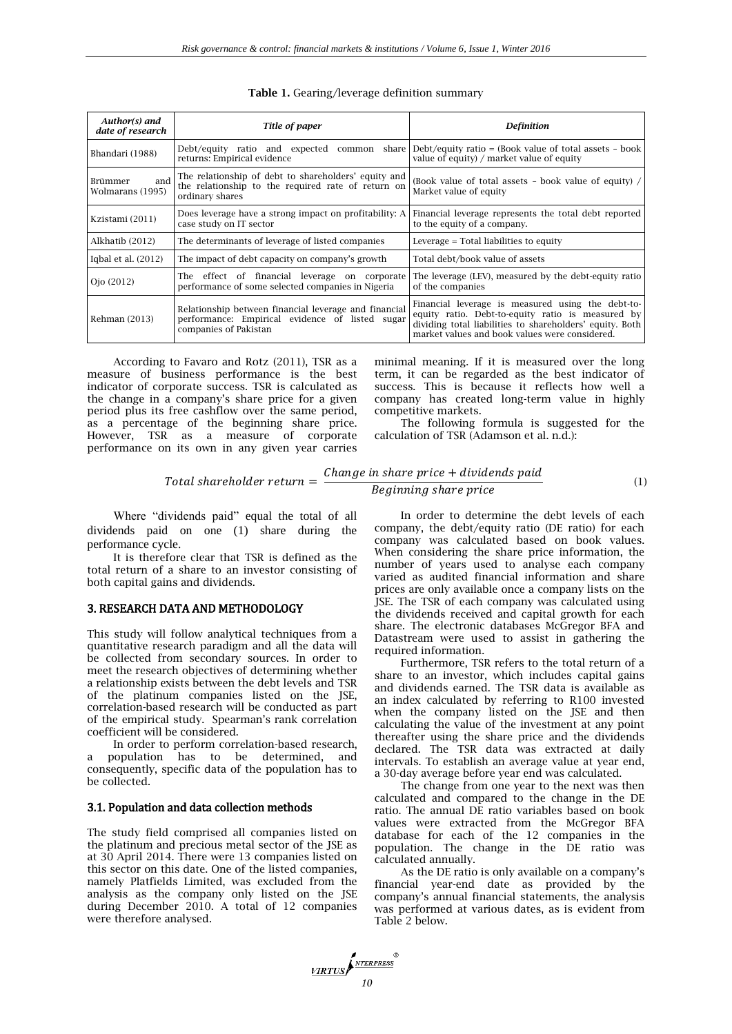| Author(s) and<br>date of research  | Title of paper                                                                                                                    | <b>Definition</b>                                                                                                                                                                                                    |  |
|------------------------------------|-----------------------------------------------------------------------------------------------------------------------------------|----------------------------------------------------------------------------------------------------------------------------------------------------------------------------------------------------------------------|--|
| Bhandari (1988)                    | Debt/equity ratio and expected common<br>share I<br>returns: Empirical evidence                                                   | Debt/equity ratio = (Book value of total assets $-$ book)<br>value of equity) / market value of equity                                                                                                               |  |
| and<br>Brümmer<br>Wolmarans (1995) | The relationship of debt to shareholders' equity and<br>the relationship to the required rate of return on<br>ordinary shares     | (Book value of total assets - book value of equity) /<br>Market value of equity                                                                                                                                      |  |
| Kzistami (2011)                    | Does leverage have a strong impact on profitability: A<br>case study on IT sector                                                 | Financial leverage represents the total debt reported<br>to the equity of a company.                                                                                                                                 |  |
| Alkhatib (2012)                    | The determinants of leverage of listed companies                                                                                  | Leverage = Total liabilities to equity                                                                                                                                                                               |  |
| Igbal et al. $(2012)$              | The impact of debt capacity on company's growth                                                                                   | Total debt/book value of assets                                                                                                                                                                                      |  |
| Ojo (2012)                         | The effect of financial leverage on corporate<br>performance of some selected companies in Nigeria                                | The leverage (LEV), measured by the debt-equity ratio<br>of the companies                                                                                                                                            |  |
| Rehman (2013)                      | Relationship between financial leverage and financial<br>performance: Empirical evidence of listed sugar<br>companies of Pakistan | Financial leverage is measured using the debt-to-<br>equity ratio. Debt-to-equity ratio is measured by<br>dividing total liabilities to shareholders' equity. Both<br>market values and book values were considered. |  |

**Table 1.** Gearing/leverage definition summary

According to Favaro and Rotz (2011), TSR as a measure of business performance is the best indicator of corporate success. TSR is calculated as the change in a company's share price for a given period plus its free cashflow over the same period, as a percentage of the beginning share price. However, TSR as a measure of corporate performance on its own in any given year carries minimal meaning. If it is measured over the long term, it can be regarded as the best indicator of success. This is because it reflects how well a company has created long-term value in highly competitive markets.

The following formula is suggested for the calculation of TSR (Adamson et al. n.d.):

(1)

# Total shareholder return  $=\frac{Change\ in\ share\ price + dividends\ paid}$ Beginning share price

Where "dividends paid" equal the total of all dividends paid on one (1) share during the performance cycle.

It is therefore clear that TSR is defined as the total return of a share to an investor consisting of both capital gains and dividends.

#### 3. RESEARCH DATA AND METHODOLOGY

This study will follow analytical techniques from a quantitative research paradigm and all the data will be collected from secondary sources. In order to meet the research objectives of determining whether a relationship exists between the debt levels and TSR of the platinum companies listed on the JSE, correlation-based research will be conducted as part of the empirical study. Spearman's rank correlation coefficient will be considered.

In order to perform correlation-based research, a population has to be determined, and consequently, specific data of the population has to be collected.

#### 3.1. Population and data collection methods

The study field comprised all companies listed on the platinum and precious metal sector of the JSE as at 30 April 2014. There were 13 companies listed on this sector on this date. One of the listed companies, namely Platfields Limited, was excluded from the analysis as the company only listed on the JSE during December 2010. A total of 12 companies were therefore analysed.

In order to determine the debt levels of each company, the debt/equity ratio (DE ratio) for each company was calculated based on book values. When considering the share price information, the number of years used to analyse each company varied as audited financial information and share prices are only available once a company lists on the JSE. The TSR of each company was calculated using the dividends received and capital growth for each share. The electronic databases McGregor BFA and Datastream were used to assist in gathering the required information.

Furthermore, TSR refers to the total return of a share to an investor, which includes capital gains and dividends earned. The TSR data is available as an index calculated by referring to R100 invested when the company listed on the JSE and then calculating the value of the investment at any point thereafter using the share price and the dividends declared. The TSR data was extracted at daily intervals. To establish an average value at year end, a 30-day average before year end was calculated.

The change from one year to the next was then calculated and compared to the change in the DE ratio. The annual DE ratio variables based on book values were extracted from the McGregor BFA database for each of the 12 companies in the population. The change in the DE ratio was calculated annually.

As the DE ratio is only available on a company's financial year-end date as provided by the company's annual financial statements, the analysis was performed at various dates, as is evident from Table 2 below.

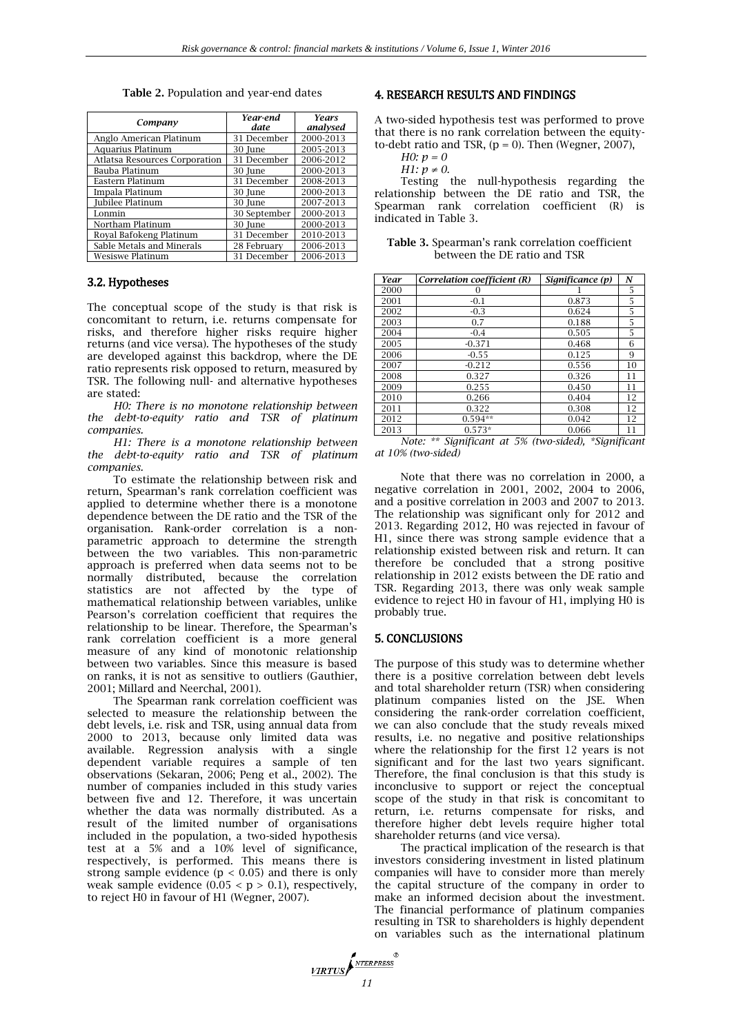| Company                              | Year-end<br>date | <b>Years</b><br>analysed |
|--------------------------------------|------------------|--------------------------|
| Anglo American Platinum              | 31 December      | 2000-2013                |
| Aquarius Platinum                    | 30 June          | 2005-2013                |
| <b>Atlatsa Resources Corporation</b> | 31 December      | 2006-2012                |
| Bauba Platinum                       | 30 June          | 2000-2013                |
| Eastern Platinum                     | 31 December      | 2008-2013                |
| Impala Platinum                      | 30 June          | 2000-2013                |
| Jubilee Platinum                     | 30 June          | 2007-2013                |
| Lonmin                               | 30 September     | 2000-2013                |
| Northam Platinum                     | 30 June          | 2000-2013                |
| Royal Bafokeng Platinum              | 31 December      | 2010-2013                |
| Sable Metals and Minerals            | 28 February      | 2006-2013                |
| Wesiswe Platinum                     | 31 December      | 2006-2013                |

**Table 2.** Population and year-end dates

#### 3.2. Hypotheses

The conceptual scope of the study is that risk is concomitant to return, i.e. returns compensate for risks, and therefore higher risks require higher returns (and vice versa). The hypotheses of the study are developed against this backdrop, where the DE ratio represents risk opposed to return, measured by TSR. The following null- and alternative hypotheses are stated:

*H0: There is no monotone relationship between the debt-to-equity ratio and TSR of platinum companies.*

*H1: There is a monotone relationship between the debt-to-equity ratio and TSR of platinum companies.*

To estimate the relationship between risk and return, Spearman's rank correlation coefficient was applied to determine whether there is a monotone dependence between the DE ratio and the TSR of the organisation. Rank-order correlation is a nonparametric approach to determine the strength between the two variables. This non-parametric approach is preferred when data seems not to be normally distributed, because the correlation statistics are not affected by the type of mathematical relationship between variables, unlike Pearson's correlation coefficient that requires the relationship to be linear. Therefore, the Spearman's rank correlation coefficient is a more general measure of any kind of monotonic relationship between two variables. Since this measure is based on ranks, it is not as sensitive to outliers (Gauthier, 2001; Millard and Neerchal, 2001).

The Spearman rank correlation coefficient was selected to measure the relationship between the debt levels, i.e. risk and TSR, using annual data from 2000 to 2013, because only limited data was available. Regression analysis with a single dependent variable requires a sample of ten observations (Sekaran, 2006; Peng et al., 2002). The number of companies included in this study varies between five and 12. Therefore, it was uncertain whether the data was normally distributed. As a result of the limited number of organisations included in the population, a two-sided hypothesis test at a 5% and a 10% level of significance, respectively, is performed. This means there is strong sample evidence  $(p < 0.05)$  and there is only weak sample evidence  $(0.05 < p > 0.1)$ , respectively, to reject H0 in favour of H1 (Wegner, 2007).

## 4. RESEARCH RESULTS AND FINDINGS

A two-sided hypothesis test was performed to prove that there is no rank correlation between the equityto-debt ratio and TSR,  $(p = 0)$ . Then (Wegner, 2007),

| ſ<br>, |  |  |
|--------|--|--|
|        |  |  |

*H1:*  $p \neq 0$ .

Testing the null-hypothesis regarding the relationship between the DE ratio and TSR, the Spearman rank correlation coefficient (R) is indicated in Table 3.

| <b>Table 3.</b> Spearman's rank correlation coefficient |
|---------------------------------------------------------|
| between the DE ratio and TSR                            |

| Year | Correlation coefficient (R) | Significance (p) | N                      |
|------|-----------------------------|------------------|------------------------|
| 2000 |                             |                  | 5                      |
| 2001 | $-0.1$                      | 0.873            | 5                      |
| 2002 | $-0.3$                      | 0.624            | 5                      |
| 2003 | 0.7                         | 0.188            | 5                      |
| 2004 | $-0.4$                      | 0.505            | 5.                     |
| 2005 | $-0.371$                    | 0.468            | 6                      |
| 2006 | $-0.55$                     | 0.125            | 9                      |
| 2007 | $-0.212$                    | 0.556            | 10                     |
| 2008 | 0.327                       | 0.326            | 11                     |
| 2009 | 0.255                       | 0.450            | 11                     |
| 2010 | 0.266                       | 0.404            | 12                     |
| 2011 | 0.322                       | 0.308            | 12                     |
| 2012 | $0.594**$                   | 0.042            | 12                     |
| 2013 | $0.573*$                    | 0.066            | 11<br>$\cdot$ $\alpha$ |

*Note: \*\* Significant at 5% (two-sided), \*Significant at 10% (two-sided)*

Note that there was no correlation in 2000, a negative correlation in 2001, 2002, 2004 to 2006, and a positive correlation in 2003 and 2007 to 2013. The relationship was significant only for 2012 and 2013. Regarding 2012, H0 was rejected in favour of H1, since there was strong sample evidence that a relationship existed between risk and return. It can therefore be concluded that a strong positive relationship in 2012 exists between the DE ratio and TSR. Regarding 2013, there was only weak sample evidence to reject H0 in favour of H1, implying H0 is probably true.

#### 5. CONCLUSIONS

The purpose of this study was to determine whether there is a positive correlation between debt levels and total shareholder return (TSR) when considering platinum companies listed on the JSE. When considering the rank-order correlation coefficient, we can also conclude that the study reveals mixed results, i.e. no negative and positive relationships where the relationship for the first 12 years is not significant and for the last two years significant. Therefore, the final conclusion is that this study is inconclusive to support or reject the conceptual scope of the study in that risk is concomitant to return, i.e. returns compensate for risks, and therefore higher debt levels require higher total shareholder returns (and vice versa).

The practical implication of the research is that investors considering investment in listed platinum companies will have to consider more than merely the capital structure of the company in order to make an informed decision about the investment. The financial performance of platinum companies resulting in TSR to shareholders is highly dependent on variables such as the international platinum

*VIRTUS*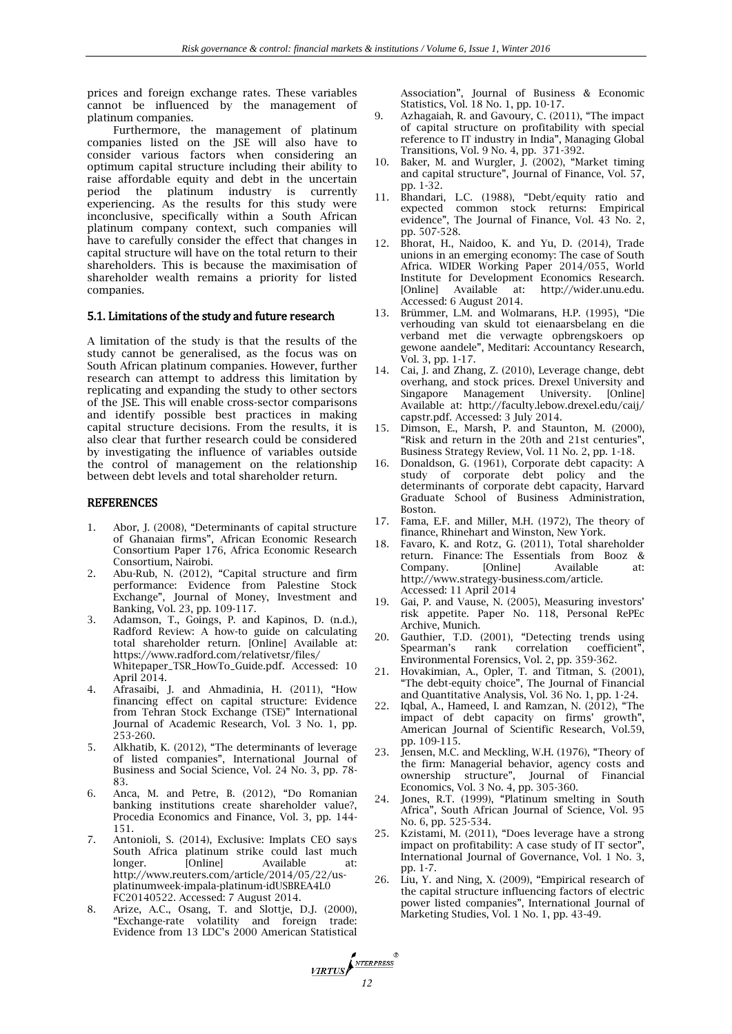prices and foreign exchange rates. These variables cannot be influenced by the management of platinum companies.

Furthermore, the management of platinum companies listed on the JSE will also have to consider various factors when considering an optimum capital structure including their ability to raise affordable equity and debt in the uncertain period the platinum industry is currently experiencing. As the results for this study were inconclusive, specifically within a South African platinum company context, such companies will have to carefully consider the effect that changes in capital structure will have on the total return to their shareholders. This is because the maximisation of shareholder wealth remains a priority for listed companies.

#### 5.1. Limitations of the study and future research

A limitation of the study is that the results of the study cannot be generalised, as the focus was on South African platinum companies. However, further research can attempt to address this limitation by replicating and expanding the study to other sectors of the JSE. This will enable cross-sector comparisons and identify possible best practices in making capital structure decisions. From the results, it is also clear that further research could be considered by investigating the influence of variables outside the control of management on the relationship between debt levels and total shareholder return.

#### **REFERENCES**

- 1. Abor, J. (2008), "Determinants of capital structure of Ghanaian firms", African Economic Research Consortium Paper 176, Africa Economic Research Consortium, Nairobi.
- 2. Abu-Rub, N. (2012), "Capital structure and firm performance: Evidence from Palestine Stock Exchange", Journal of Money, Investment and Banking, Vol. 23, pp. 109-117.
- 3. Adamson, T., Goings, P. and Kapinos, D. (n.d.), Radford Review: A how-to guide on calculating total shareholder return. [Online] Available at: https://www.radford.com/relativetsr/files/ Whitepaper\_TSR\_HowTo\_Guide.pdf. Accessed: 10 April 2014.
- 4. Afrasaibi, J. and Ahmadinia, H. (2011), "How financing effect on capital structure: Evidence from Tehran Stock Exchange (TSE)" International Journal of Academic Research, Vol. 3 No. 1, pp. 253-260.
- 5. Alkhatib, K. (2012), "The determinants of leverage of listed companies", International Journal of Business and Social Science, Vol. 24 No. 3, pp. 78- 83.
- 6. Anca, M. and Petre, B. (2012), "Do Romanian banking institutions create shareholder value?, Procedia Economics and Finance, Vol. 3, pp. 144- 151.
- 7. Antonioli, S. (2014), Exclusive: Implats CEO says South Africa platinum strike could last much longer. [Online] Available at: http://www.reuters.com/article/2014/05/22/usplatinumweek-impala-platinum-idUSBREA4L0 FC20140522. Accessed: 7 August 2014.
- 8. Arize, A.C., Osang, T. and Slottje, D.J. (2000), "Exchange-rate volatility and foreign trade: Evidence from 13 LDC's 2000 American Statistical

Association", Journal of Business & Economic Statistics, Vol. 18 No. 1, pp. 10-17.

- 9. Azhagaiah, R. and Gavoury, C. (2011), "The impact of capital structure on profitability with special reference to IT industry in India", Managing Global Transitions, Vol. 9 No. 4, pp. 371-392.
- 10. Baker, M. and Wurgler, J. (2002), "Market timing and capital structure", Journal of Finance, Vol. 57, pp. 1-32.
- 11. Bhandari, L.C. (1988), "Debt/equity ratio and expected common stock returns: Empirical evidence", The Journal of Finance, Vol. 43 No. 2, pp. 507-528.
- 12. Bhorat, H., Naidoo, K. and Yu, D. (2014), Trade unions in an emerging economy: The case of South Africa. WIDER Working Paper 2014/055, World Institute for Development Economics Research. [Online] Available at: http://wider.unu.edu. Accessed: 6 August 2014.
- 13. Brümmer, L.M. and Wolmarans, H.P. (1995), "Die verhouding van skuld tot eienaarsbelang en die verband met die verwagte opbrengskoers op gewone aandele", Meditari: Accountancy Research, Vol. 3, pp. 1-17.
- 14. Cai, J. and Zhang, Z. (2010), Leverage change, debt overhang, and stock prices. Drexel University and Singapore Management University. [Online] Available at: http://faculty.lebow.drexel.edu/caij/ capstr.pdf. Accessed: 3 July 2014.
- 15. Dimson, E., Marsh, P. and Staunton, M. (2000), "Risk and return in the 20th and 21st centuries", Business Strategy Review, Vol. 11 No. 2, pp. 1-18.
- 16. Donaldson, G. (1961), Corporate debt capacity: A study of corporate debt policy and the determinants of corporate debt capacity, Harvard Graduate School of Business Administration, Boston.
- 17. Fama, E.F. and Miller, M.H. (1972), The theory of finance, Rhinehart and Winston, New York.
- 18. Favaro, K. and Rotz, G. (2011), Total shareholder return. Finance: The Essentials from Booz & Company. [Online] Available at: http://www.strategy-business.com/article. Accessed: 11 April 2014
- 19. Gai, P. and Vause, N. (2005), Measuring investors' risk appetite. Paper No. 118, Personal RePEc Archive, Munich.
- 20. Gauthier, T.D. (2001), "Detecting trends using Spearman's rank correlation coefficient", Environmental Forensics, Vol. 2, pp. 359-362.
- 21. Hovakimian, A., Opler, T. and Titman, S. (2001), "The debt-equity choice", The Journal of Financial and Quantitative Analysis, Vol. 36 No. 1, pp. 1-24.
- 22. Iqbal, A., Hameed, I. and Ramzan, N. (2012), "The impact of debt capacity on firms' growth", American Journal of Scientific Research, Vol.59, pp. 109-115.
- 23. Jensen, M.C. and Meckling, W.H. (1976), "Theory of the firm: Managerial behavior, agency costs and ownership structure", Journal of Financial Economics, Vol. 3 No. 4, pp. 305-360.
- 24. Jones, R.T. (1999), "Platinum smelting in South Africa", South African Journal of Science, Vol. 95 No. 6, pp. 525-534.
- 25. Kzistami, M. (2011), "Does leverage have a strong impact on profitability: A case study of IT sector", International Journal of Governance, Vol. 1 No. 3, pp. 1-7.
- 26. Liu, Y. and Ning, X. (2009), "Empirical research of the capital structure influencing factors of electric power listed companies", International Journal of Marketing Studies, Vol. 1 No. 1, pp. 43-49.

*MRTUS*